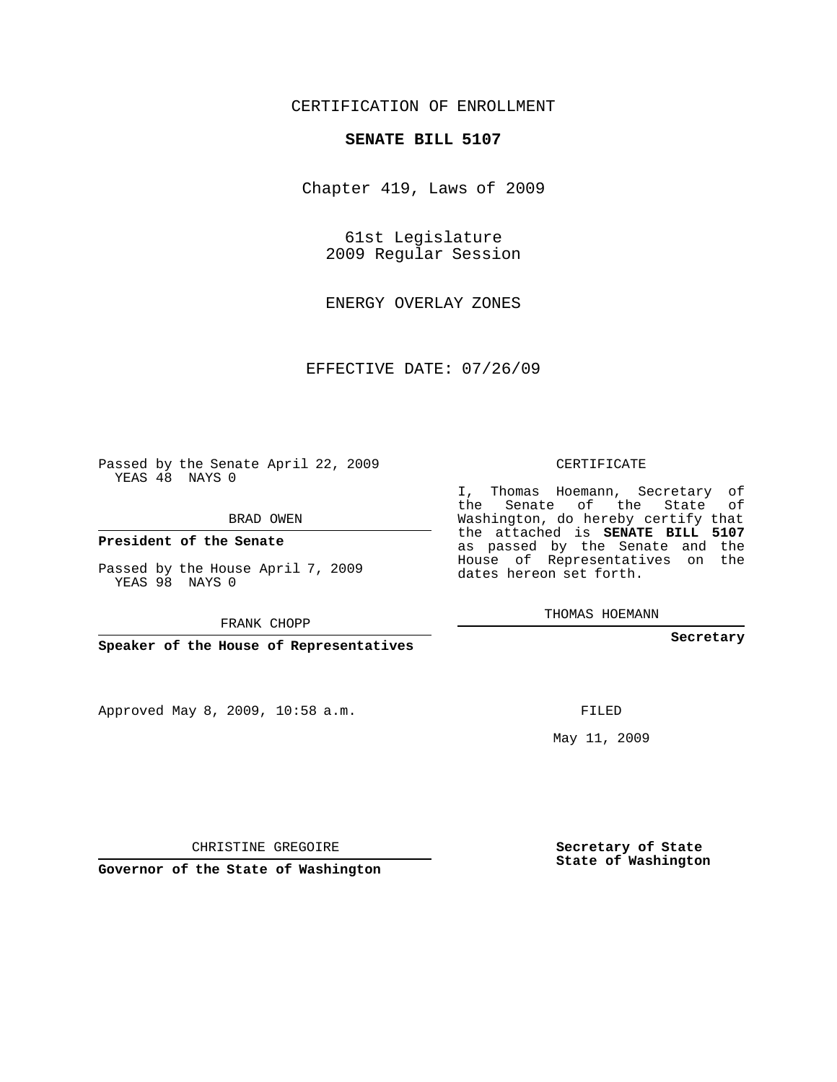## CERTIFICATION OF ENROLLMENT

#### **SENATE BILL 5107**

Chapter 419, Laws of 2009

61st Legislature 2009 Regular Session

ENERGY OVERLAY ZONES

EFFECTIVE DATE: 07/26/09

Passed by the Senate April 22, 2009 YEAS 48 NAYS 0

BRAD OWEN

**President of the Senate**

Passed by the House April 7, 2009 YEAS 98 NAYS 0

FRANK CHOPP

**Speaker of the House of Representatives**

Approved May 8, 2009, 10:58 a.m.

CERTIFICATE

I, Thomas Hoemann, Secretary of the Senate of the State of Washington, do hereby certify that the attached is **SENATE BILL 5107** as passed by the Senate and the House of Representatives on the dates hereon set forth.

THOMAS HOEMANN

**Secretary**

FILED

May 11, 2009

**Secretary of State State of Washington**

CHRISTINE GREGOIRE

**Governor of the State of Washington**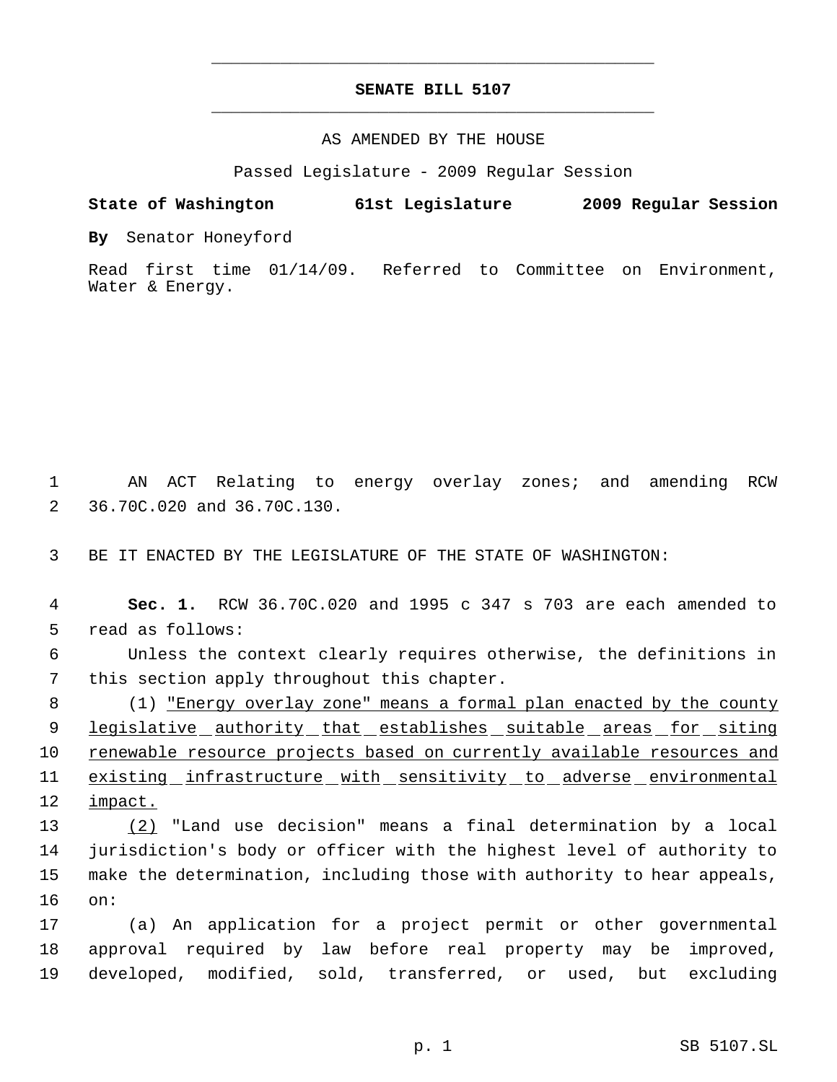# **SENATE BILL 5107** \_\_\_\_\_\_\_\_\_\_\_\_\_\_\_\_\_\_\_\_\_\_\_\_\_\_\_\_\_\_\_\_\_\_\_\_\_\_\_\_\_\_\_\_\_

\_\_\_\_\_\_\_\_\_\_\_\_\_\_\_\_\_\_\_\_\_\_\_\_\_\_\_\_\_\_\_\_\_\_\_\_\_\_\_\_\_\_\_\_\_

#### AS AMENDED BY THE HOUSE

Passed Legislature - 2009 Regular Session

### **State of Washington 61st Legislature 2009 Regular Session**

**By** Senator Honeyford

Read first time 01/14/09. Referred to Committee on Environment, Water & Energy.

 1 AN ACT Relating to energy overlay zones; and amending RCW 2 36.70C.020 and 36.70C.130.

3 BE IT ENACTED BY THE LEGISLATURE OF THE STATE OF WASHINGTON:

 **Sec. 1.** RCW 36.70C.020 and 1995 c 347 s 703 are each amended to read as follows: Unless the context clearly requires otherwise, the definitions in this section apply throughout this chapter. 8 (1) <u>"Energy overlay zone" means a formal plan enacted by the county</u>

9 legislative authority that establishes suitable areas for siting 10 renewable resource projects based on currently available resources and 11 existing infrastructure with sensitivity to adverse environmental 12 impact.

 (2) "Land use decision" means a final determination by a local jurisdiction's body or officer with the highest level of authority to make the determination, including those with authority to hear appeals, 16 on:

17 (a) An application for a project permit or other governmental 18 approval required by law before real property may be improved, 19 developed, modified, sold, transferred, or used, but excluding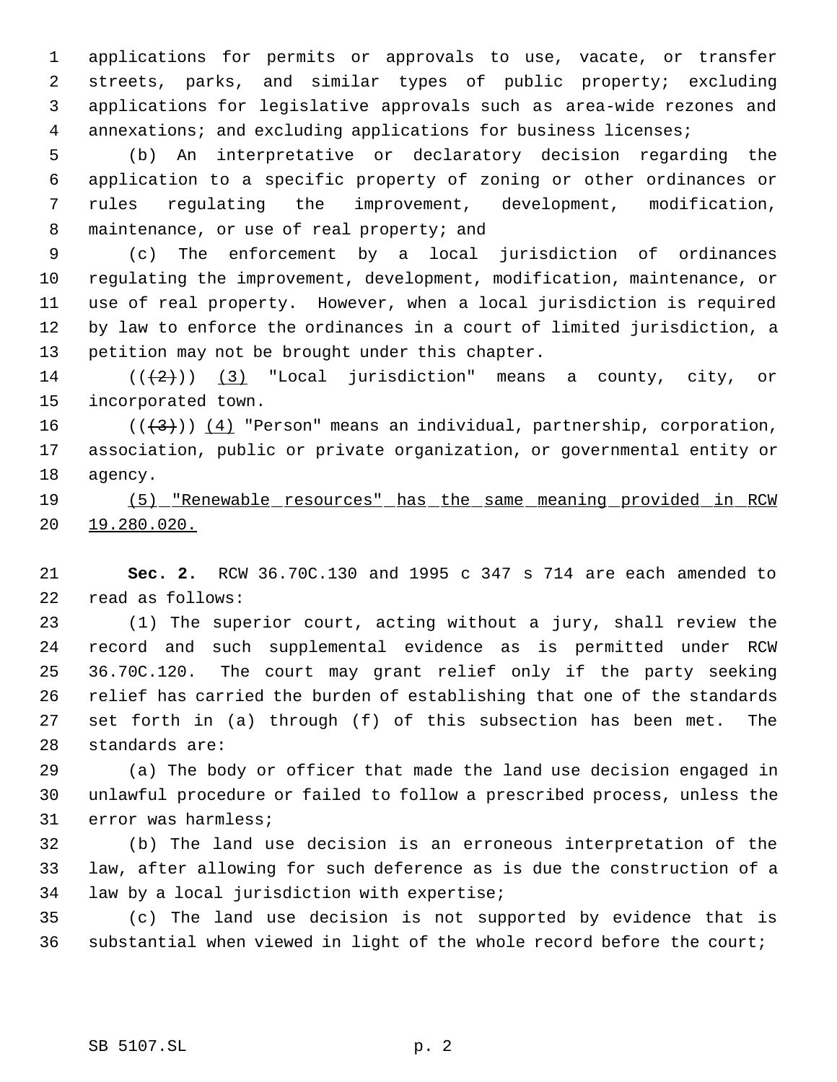applications for permits or approvals to use, vacate, or transfer streets, parks, and similar types of public property; excluding applications for legislative approvals such as area-wide rezones and 4 annexations; and excluding applications for business licenses;

 (b) An interpretative or declaratory decision regarding the application to a specific property of zoning or other ordinances or rules regulating the improvement, development, modification, 8 maintenance, or use of real property; and

 (c) The enforcement by a local jurisdiction of ordinances regulating the improvement, development, modification, maintenance, or use of real property. However, when a local jurisdiction is required by law to enforce the ordinances in a court of limited jurisdiction, a petition may not be brought under this chapter.

14  $((+2))$   $(3)$  "Local jurisdiction" means a county, city, or incorporated town.

16 ( $(\langle 3 \rangle)$ ) (4) "Person" means an individual, partnership, corporation, association, public or private organization, or governmental entity or agency.

 (5) "Renewable resources" has the same meaning provided in RCW 19.280.020.

 **Sec. 2.** RCW 36.70C.130 and 1995 c 347 s 714 are each amended to read as follows:

 (1) The superior court, acting without a jury, shall review the record and such supplemental evidence as is permitted under RCW 36.70C.120. The court may grant relief only if the party seeking relief has carried the burden of establishing that one of the standards set forth in (a) through (f) of this subsection has been met. The standards are:

 (a) The body or officer that made the land use decision engaged in unlawful procedure or failed to follow a prescribed process, unless the error was harmless;

 (b) The land use decision is an erroneous interpretation of the law, after allowing for such deference as is due the construction of a law by a local jurisdiction with expertise;

 (c) The land use decision is not supported by evidence that is substantial when viewed in light of the whole record before the court;